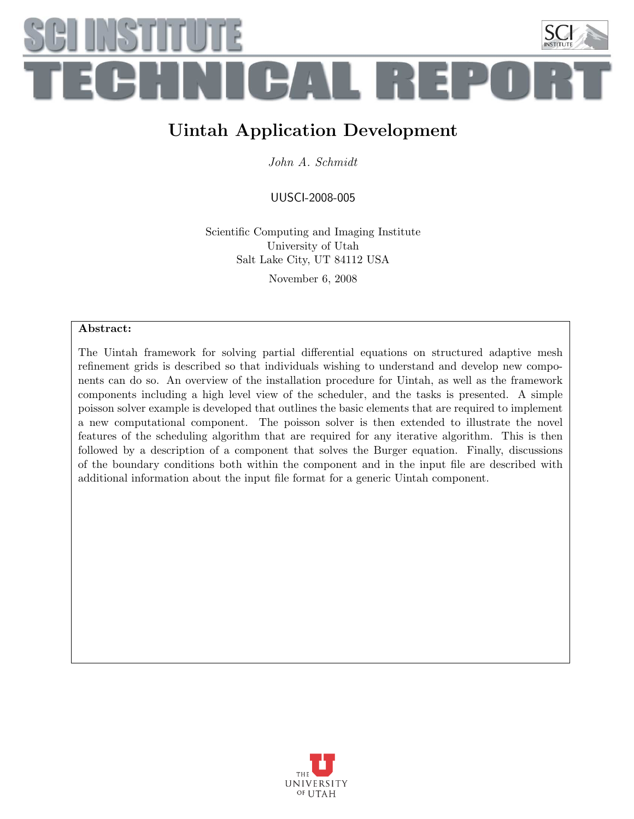

### Uintah Application Development

John A. Schmidt

UUSCI-2008-005

Scientific Computing and Imaging Institute University of Utah Salt Lake City, UT 84112 USA November 6, 2008

#### Abstract:

The Uintah framework for solving partial differential equations on structured adaptive mesh refinement grids is described so that individuals wishing to understand and develop new components can do so. An overview of the installation procedure for Uintah, as well as the framework components including a high level view of the scheduler, and the tasks is presented. A simple poisson solver example is developed that outlines the basic elements that are required to implement a new computational component. The poisson solver is then extended to illustrate the novel features of the scheduling algorithm that are required for any iterative algorithm. This is then followed by a description of a component that solves the Burger equation. Finally, discussions of the boundary conditions both within the component and in the input file are described with additional information about the input file format for a generic Uintah component.

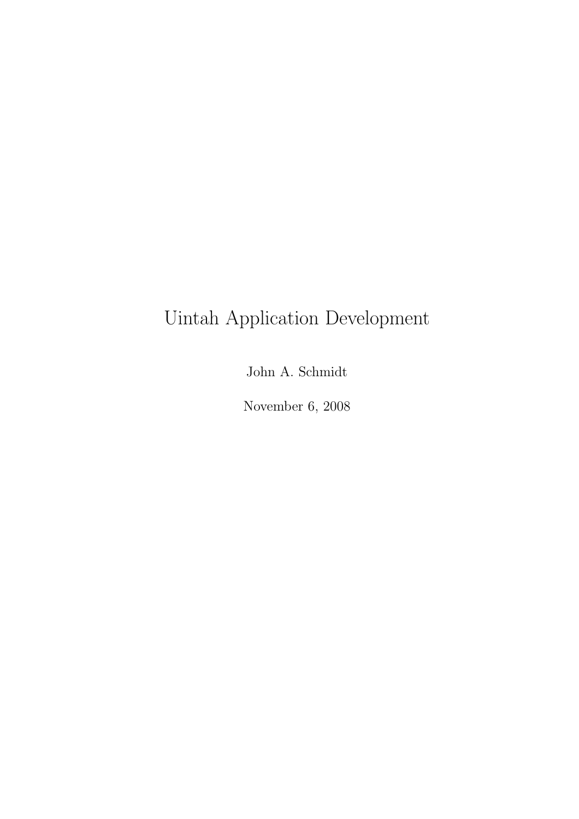# Uintah Application Development

John A. Schmidt

November 6, 2008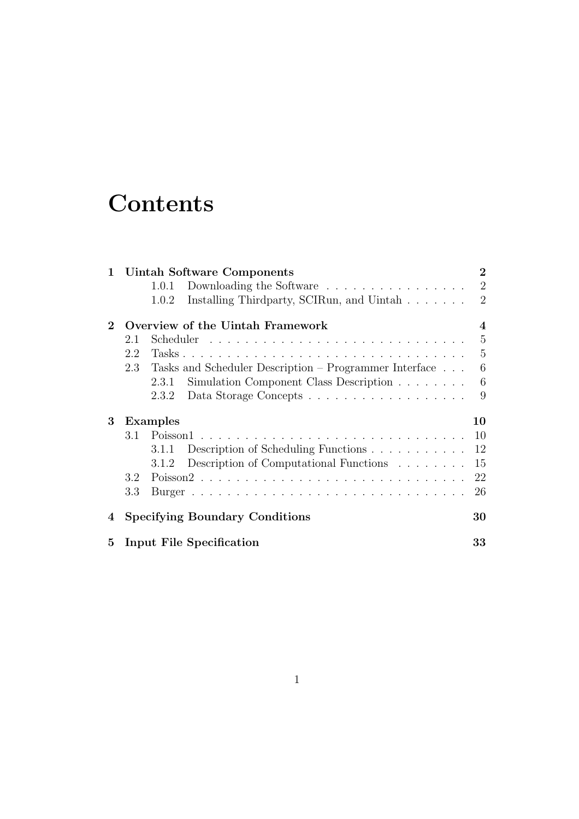# **Contents**

| $\mathbf{1}$                          | Uintah Software Components                                    |                |  |
|---------------------------------------|---------------------------------------------------------------|----------------|--|
|                                       | Downloading the Software<br>1.0.1                             | $\overline{2}$ |  |
|                                       | Installing Thirdparty, SCIRun, and Uintah<br>1.0.2            | $\overline{2}$ |  |
| Overview of the Uintah Framework<br>2 |                                                               |                |  |
|                                       | 2.1                                                           | 5              |  |
|                                       | 2.2                                                           | 5              |  |
|                                       | Tasks and Scheduler Description – Programmer Interface<br>2.3 | 6              |  |
|                                       | Simulation Component Class Description<br>2.3.1               | 6              |  |
|                                       | 2.3.2                                                         | 9              |  |
| 3                                     | <b>Examples</b>                                               | 10             |  |
|                                       | 3.1                                                           | 10             |  |
|                                       | Description of Scheduling Functions<br>3.1.1                  | 12             |  |
|                                       | Description of Computational Functions<br>3.1.2               | 15             |  |
|                                       | 3.2                                                           | 22             |  |
|                                       | 3.3                                                           | 26             |  |
| 4                                     | <b>Specifying Boundary Conditions</b>                         | 30             |  |
| $5^{\circ}$                           | Input File Specification                                      | 33             |  |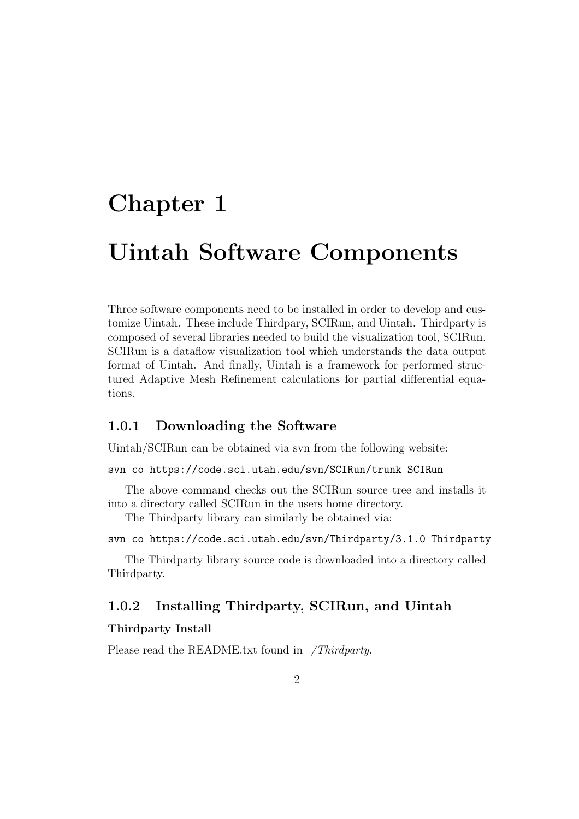# Chapter 1

# Uintah Software Components

Three software components need to be installed in order to develop and customize Uintah. These include Thirdpary, SCIRun, and Uintah. Thirdparty is composed of several libraries needed to build the visualization tool, SCIRun. SCIRun is a dataflow visualization tool which understands the data output format of Uintah. And finally, Uintah is a framework for performed structured Adaptive Mesh Refinement calculations for partial differential equations.

#### 1.0.1 Downloading the Software

Uintah/SCIRun can be obtained via svn from the following website:

svn co https://code.sci.utah.edu/svn/SCIRun/trunk SCIRun

The above command checks out the SCIRun source tree and installs it into a directory called SCIRun in the users home directory.

The Thirdparty library can similarly be obtained via:

svn co https://code.sci.utah.edu/svn/Thirdparty/3.1.0 Thirdparty

The Thirdparty library source code is downloaded into a directory called Thirdparty.

### 1.0.2 Installing Thirdparty, SCIRun, and Uintah

#### Thirdparty Install

Please read the README.txt found in /Thirdparty.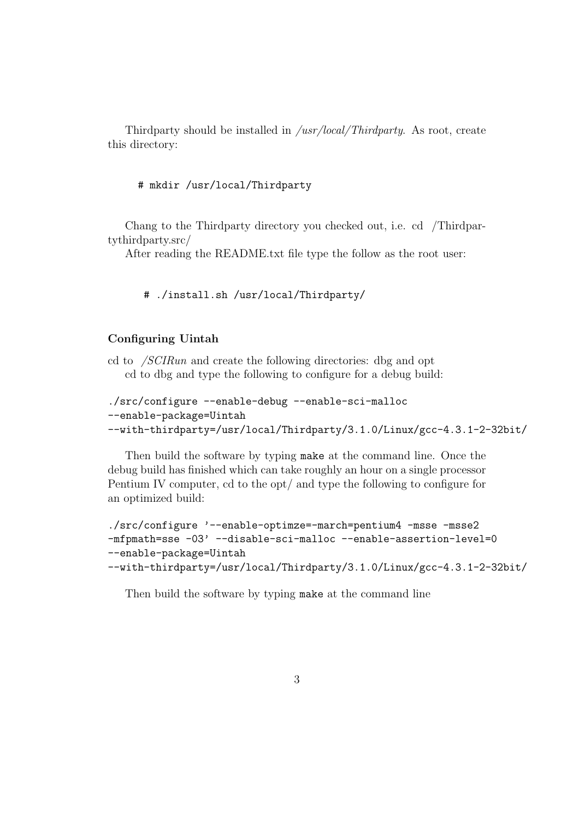Thirdparty should be installed in */usr/local/Thirdparty*. As root, create this directory:

#### # mkdir /usr/local/Thirdparty

Chang to the Thirdparty directory you checked out, i.e. cd /Thirdpartythirdparty.src/

After reading the README.txt file type the follow as the root user:

```
# ./install.sh /usr/local/Thirdparty/
```
#### Configuring Uintah

cd to /SCIRun and create the following directories: dbg and opt cd to dbg and type the following to configure for a debug build:

```
./src/configure --enable-debug --enable-sci-malloc
--enable-package=Uintah
--with-thirdparty=/usr/local/Thirdparty/3.1.0/Linux/gcc-4.3.1-2-32bit/
```
Then build the software by typing make at the command line. Once the debug build has finished which can take roughly an hour on a single processor Pentium IV computer, cd to the opt/ and type the following to configure for an optimized build:

```
./src/configure '--enable-optimze=-march=pentium4 -msse -msse2
-mfpmath=sse -03' --disable-sci-malloc --enable-assertion-level=0
--enable-package=Uintah
--with-thirdparty=/usr/local/Thirdparty/3.1.0/Linux/gcc-4.3.1-2-32bit/
```
Then build the software by typing make at the command line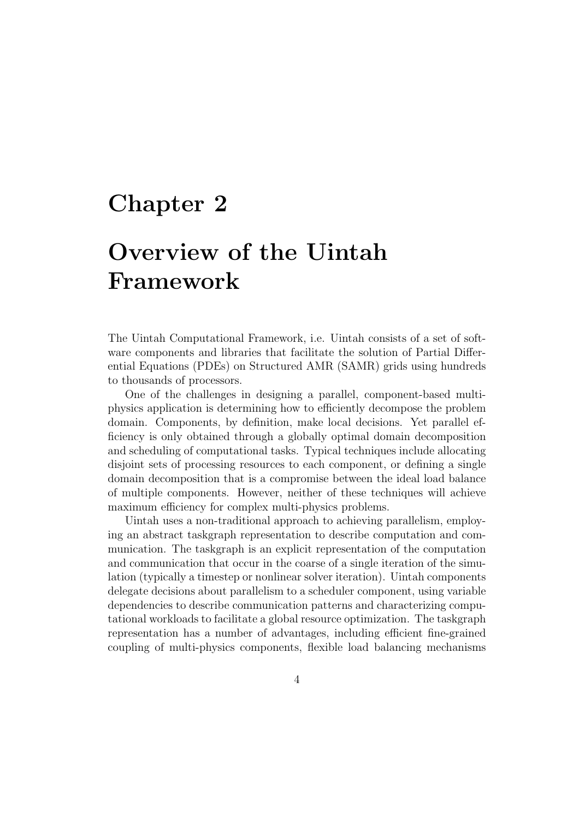### Chapter 2

# Overview of the Uintah Framework

The Uintah Computational Framework, i.e. Uintah consists of a set of software components and libraries that facilitate the solution of Partial Differential Equations (PDEs) on Structured AMR (SAMR) grids using hundreds to thousands of processors.

One of the challenges in designing a parallel, component-based multiphysics application is determining how to efficiently decompose the problem domain. Components, by definition, make local decisions. Yet parallel efficiency is only obtained through a globally optimal domain decomposition and scheduling of computational tasks. Typical techniques include allocating disjoint sets of processing resources to each component, or defining a single domain decomposition that is a compromise between the ideal load balance of multiple components. However, neither of these techniques will achieve maximum efficiency for complex multi-physics problems.

Uintah uses a non-traditional approach to achieving parallelism, employing an abstract taskgraph representation to describe computation and communication. The taskgraph is an explicit representation of the computation and communication that occur in the coarse of a single iteration of the simulation (typically a timestep or nonlinear solver iteration). Uintah components delegate decisions about parallelism to a scheduler component, using variable dependencies to describe communication patterns and characterizing computational workloads to facilitate a global resource optimization. The taskgraph representation has a number of advantages, including efficient fine-grained coupling of multi-physics components, flexible load balancing mechanisms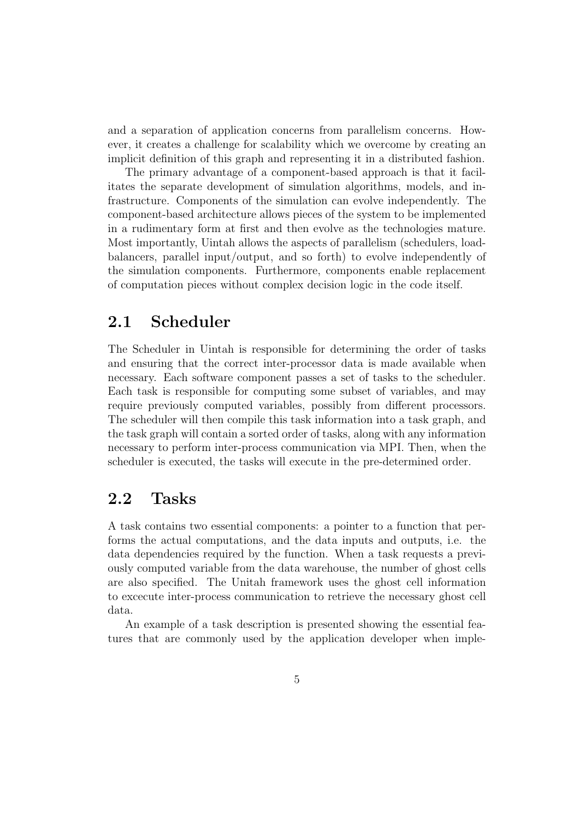and a separation of application concerns from parallelism concerns. However, it creates a challenge for scalability which we overcome by creating an implicit definition of this graph and representing it in a distributed fashion.

The primary advantage of a component-based approach is that it facilitates the separate development of simulation algorithms, models, and infrastructure. Components of the simulation can evolve independently. The component-based architecture allows pieces of the system to be implemented in a rudimentary form at first and then evolve as the technologies mature. Most importantly, Uintah allows the aspects of parallelism (schedulers, loadbalancers, parallel input/output, and so forth) to evolve independently of the simulation components. Furthermore, components enable replacement of computation pieces without complex decision logic in the code itself.

### 2.1 Scheduler

The Scheduler in Uintah is responsible for determining the order of tasks and ensuring that the correct inter-processor data is made available when necessary. Each software component passes a set of tasks to the scheduler. Each task is responsible for computing some subset of variables, and may require previously computed variables, possibly from different processors. The scheduler will then compile this task information into a task graph, and the task graph will contain a sorted order of tasks, along with any information necessary to perform inter-process communication via MPI. Then, when the scheduler is executed, the tasks will execute in the pre-determined order.

### 2.2 Tasks

A task contains two essential components: a pointer to a function that performs the actual computations, and the data inputs and outputs, i.e. the data dependencies required by the function. When a task requests a previously computed variable from the data warehouse, the number of ghost cells are also specified. The Unitah framework uses the ghost cell information to excecute inter-process communication to retrieve the necessary ghost cell data.

An example of a task description is presented showing the essential features that are commonly used by the application developer when imple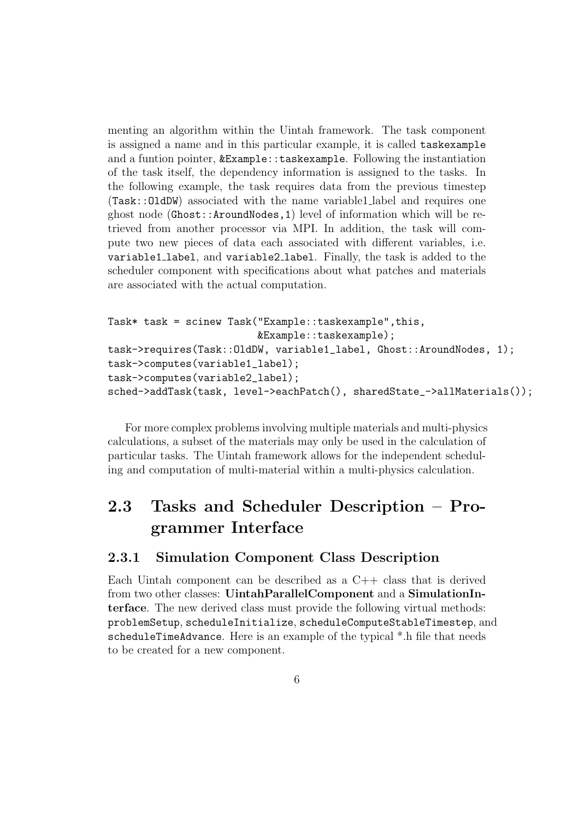menting an algorithm within the Uintah framework. The task component is assigned a name and in this particular example, it is called taskexample and a funtion pointer, &Example::taskexample. Following the instantiation of the task itself, the dependency information is assigned to the tasks. In the following example, the task requires data from the previous timestep (Task::OldDW) associated with the name variable1 label and requires one ghost node (Ghost::AroundNodes,1) level of information which will be retrieved from another processor via MPI. In addition, the task will compute two new pieces of data each associated with different variables, i.e. variable1 label, and variable2 label. Finally, the task is added to the scheduler component with specifications about what patches and materials are associated with the actual computation.

```
Task* task = scinew Task("Example::taskexample",this,
                         &Example::taskexample);
task->requires(Task::OldDW, variable1_label, Ghost::AroundNodes, 1);
task->computes(variable1_label);
task->computes(variable2_label);
sched->addTask(task, level->eachPatch(), sharedState_->allMaterials());
```
For more complex problems involving multiple materials and multi-physics calculations, a subset of the materials may only be used in the calculation of particular tasks. The Uintah framework allows for the independent scheduling and computation of multi-material within a multi-physics calculation.

### 2.3 Tasks and Scheduler Description – Programmer Interface

#### 2.3.1 Simulation Component Class Description

Each Uintah component can be described as a  $C_{++}$  class that is derived from two other classes: UintahParallelComponent and a SimulationInterface. The new derived class must provide the following virtual methods: problemSetup, scheduleInitialize, scheduleComputeStableTimestep, and scheduleTimeAdvance. Here is an example of the typical \*.h file that needs to be created for a new component.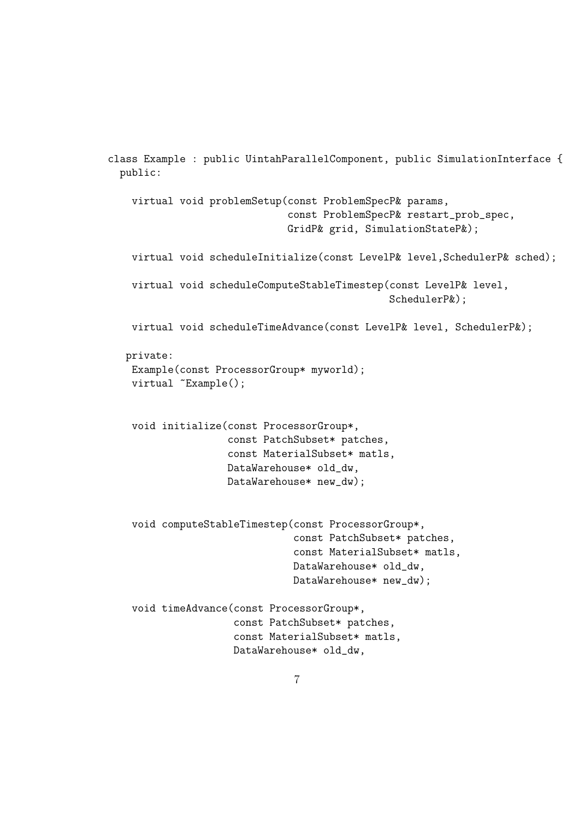```
class Example : public UintahParallelComponent, public SimulationInterface {
 public:
   virtual void problemSetup(const ProblemSpecP& params,
                              const ProblemSpecP& restart_prob_spec,
                              GridP& grid, SimulationStateP&);
   virtual void scheduleInitialize(const LevelP& level,SchedulerP& sched);
   virtual void scheduleComputeStableTimestep(const LevelP& level,
                                               SchedulerP&);
   virtual void scheduleTimeAdvance(const LevelP& level, SchedulerP&);
  private:
   Example(const ProcessorGroup* myworld);
   virtual "Example();
    void initialize(const ProcessorGroup*,
                    const PatchSubset* patches,
                    const MaterialSubset* matls,
                    DataWarehouse* old_dw,
                    DataWarehouse* new_dw);
    void computeStableTimestep(const ProcessorGroup*,
                               const PatchSubset* patches,
                               const MaterialSubset* matls,
                               DataWarehouse* old_dw,
                               DataWarehouse* new_dw);
   void timeAdvance(const ProcessorGroup*,
                     const PatchSubset* patches,
                     const MaterialSubset* matls,
                     DataWarehouse* old_dw,
```
7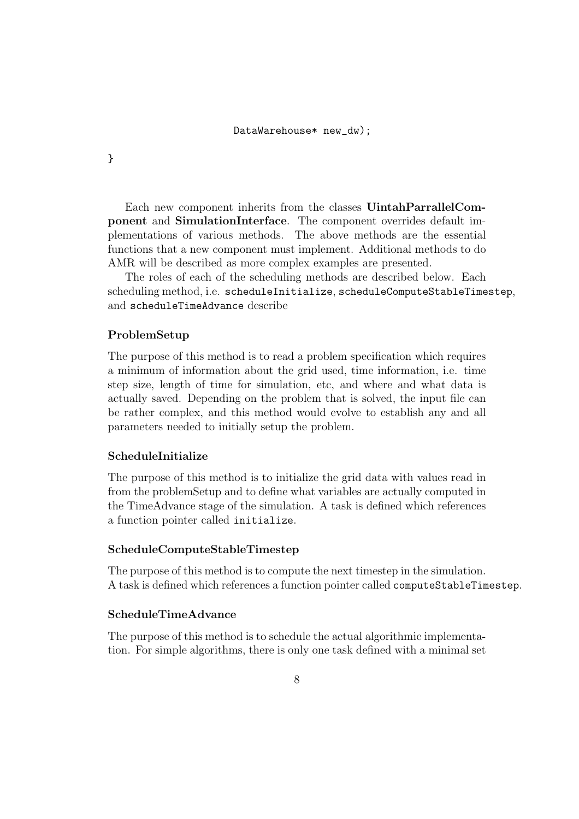}

Each new component inherits from the classes UintahParrallelComponent and SimulationInterface. The component overrides default implementations of various methods. The above methods are the essential functions that a new component must implement. Additional methods to do AMR will be described as more complex examples are presented.

The roles of each of the scheduling methods are described below. Each scheduling method, i.e. scheduleInitialize, scheduleComputeStableTimestep, and scheduleTimeAdvance describe

#### ProblemSetup

The purpose of this method is to read a problem specification which requires a minimum of information about the grid used, time information, i.e. time step size, length of time for simulation, etc, and where and what data is actually saved. Depending on the problem that is solved, the input file can be rather complex, and this method would evolve to establish any and all parameters needed to initially setup the problem.

#### ScheduleInitialize

The purpose of this method is to initialize the grid data with values read in from the problemSetup and to define what variables are actually computed in the TimeAdvance stage of the simulation. A task is defined which references a function pointer called initialize.

#### ScheduleComputeStableTimestep

The purpose of this method is to compute the next timestep in the simulation. A task is defined which references a function pointer called computeStableTimestep.

#### ScheduleTimeAdvance

The purpose of this method is to schedule the actual algorithmic implementation. For simple algorithms, there is only one task defined with a minimal set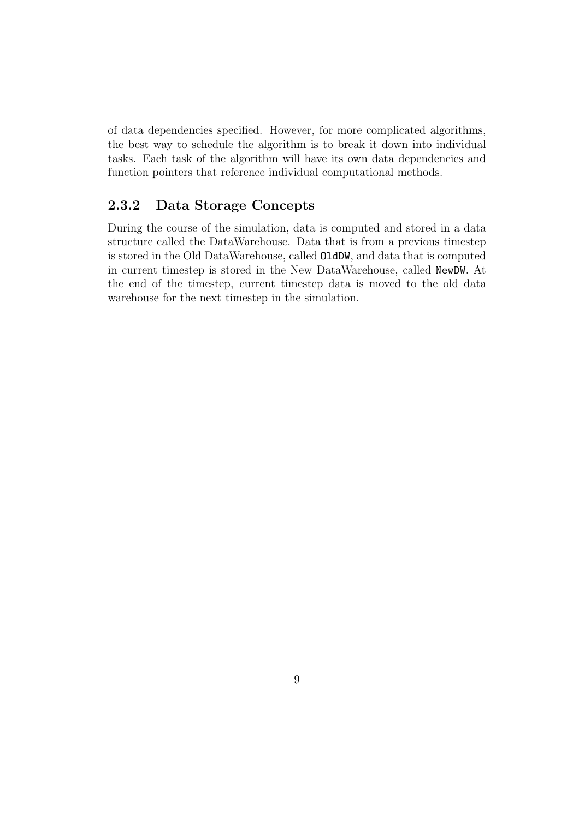of data dependencies specified. However, for more complicated algorithms, the best way to schedule the algorithm is to break it down into individual tasks. Each task of the algorithm will have its own data dependencies and function pointers that reference individual computational methods.

#### 2.3.2 Data Storage Concepts

During the course of the simulation, data is computed and stored in a data structure called the DataWarehouse. Data that is from a previous timestep is stored in the Old DataWarehouse, called OldDW, and data that is computed in current timestep is stored in the New DataWarehouse, called NewDW. At the end of the timestep, current timestep data is moved to the old data warehouse for the next timestep in the simulation.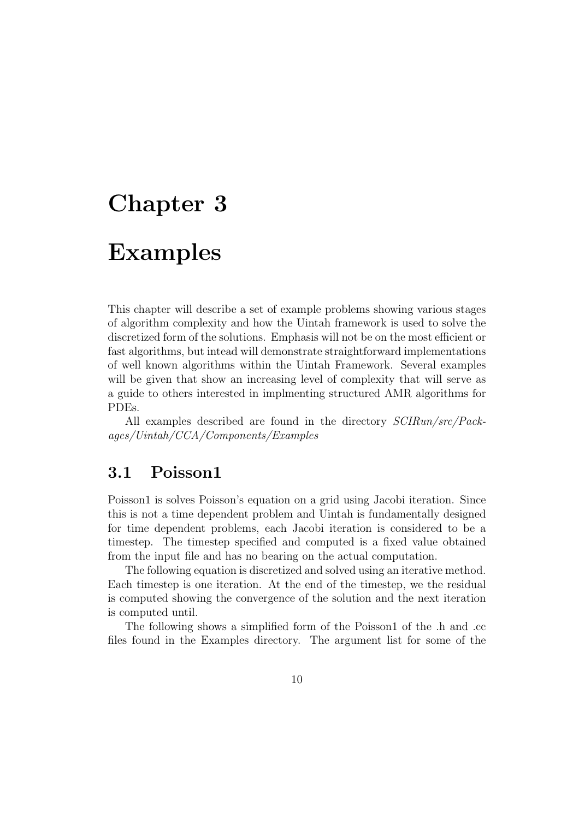# Chapter 3

# Examples

This chapter will describe a set of example problems showing various stages of algorithm complexity and how the Uintah framework is used to solve the discretized form of the solutions. Emphasis will not be on the most efficient or fast algorithms, but intead will demonstrate straightforward implementations of well known algorithms within the Uintah Framework. Several examples will be given that show an increasing level of complexity that will serve as a guide to others interested in implmenting structured AMR algorithms for PDEs.

All examples described are found in the directory SCIRun/src/Packages/Uintah/CCA/Components/Examples

### 3.1 Poisson1

Poisson1 is solves Poisson's equation on a grid using Jacobi iteration. Since this is not a time dependent problem and Uintah is fundamentally designed for time dependent problems, each Jacobi iteration is considered to be a timestep. The timestep specified and computed is a fixed value obtained from the input file and has no bearing on the actual computation.

The following equation is discretized and solved using an iterative method. Each timestep is one iteration. At the end of the timestep, we the residual is computed showing the convergence of the solution and the next iteration is computed until.

The following shows a simplified form of the Poisson1 of the .h and .cc files found in the Examples directory. The argument list for some of the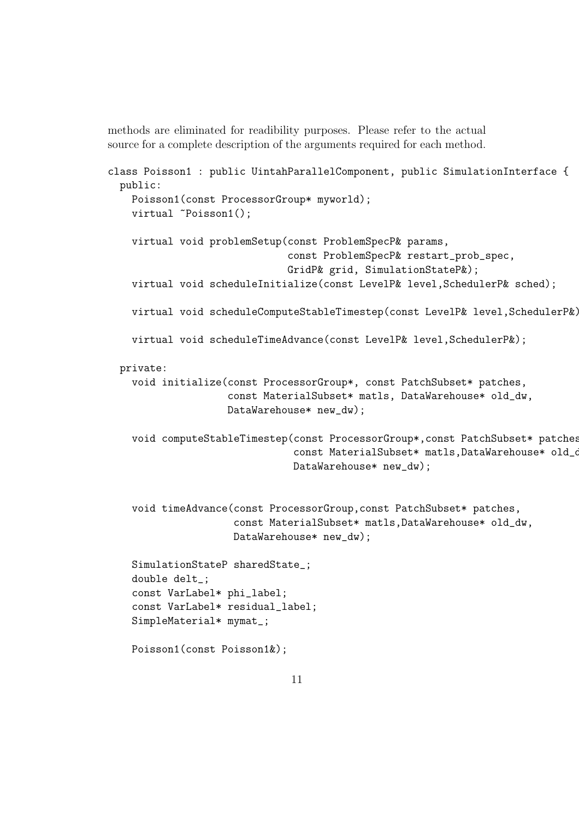methods are eliminated for readibility purposes. Please refer to the actual source for a complete description of the arguments required for each method.

```
class Poisson1 : public UintahParallelComponent, public SimulationInterface {
 public:
    Poisson1(const ProcessorGroup* myworld);
    virtual "Poisson1();
    virtual void problemSetup(const ProblemSpecP& params,
                              const ProblemSpecP& restart_prob_spec,
                              GridP& grid, SimulationStateP&);
    virtual void scheduleInitialize(const LevelP& level,SchedulerP& sched);
   virtual void scheduleComputeStableTimestep(const LevelP& level,SchedulerP&);
    virtual void scheduleTimeAdvance(const LevelP& level,SchedulerP&);
 private:
   void initialize(const ProcessorGroup*, const PatchSubset* patches,
                    const MaterialSubset* matls, DataWarehouse* old_dw,
                    DataWarehouse* new_dw);
    void computeStableTimestep(const ProcessorGroup*,const PatchSubset* patches,
                               const MaterialSubset* matls, DataWarehouse* old_d
                               DataWarehouse* new_dw);
    void timeAdvance(const ProcessorGroup,const PatchSubset* patches,
                     const MaterialSubset* matls,DataWarehouse* old_dw,
                     DataWarehouse* new_dw);
    SimulationStateP sharedState_;
    double delt_;
    const VarLabel* phi_label;
    const VarLabel* residual_label;
    SimpleMaterial* mymat_;
    Poisson1(const Poisson1&);
```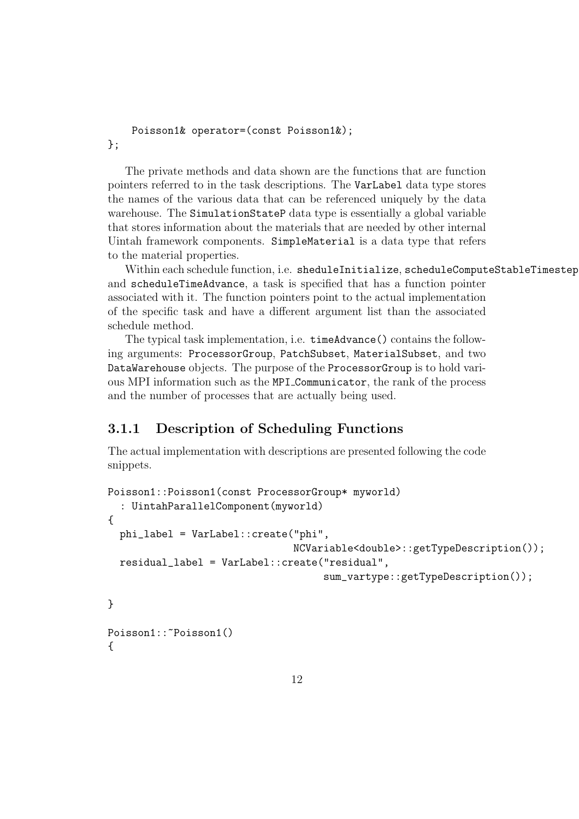```
Poisson1& operator=(const Poisson1&);
};
```
The private methods and data shown are the functions that are function pointers referred to in the task descriptions. The VarLabel data type stores the names of the various data that can be referenced uniquely by the data warehouse. The SimulationStateP data type is essentially a global variable that stores information about the materials that are needed by other internal Uintah framework components. SimpleMaterial is a data type that refers to the material properties.

Within each schedule function, i.e. sheduleInitialize, scheduleComputeStableTimestep and scheduleTimeAdvance, a task is specified that has a function pointer associated with it. The function pointers point to the actual implementation of the specific task and have a different argument list than the associated schedule method.

The typical task implementation, i.e. timeAdvance() contains the following arguments: ProcessorGroup, PatchSubset, MaterialSubset, and two DataWarehouse objects. The purpose of the ProcessorGroup is to hold various MPI information such as the MPI Communicator, the rank of the process and the number of processes that are actually being used.

### 3.1.1 Description of Scheduling Functions

The actual implementation with descriptions are presented following the code snippets.

```
Poisson1::Poisson1(const ProcessorGroup* myworld)
  : UintahParallelComponent(myworld)
{
  phi_label = VarLabel::create("phi",
                                NCVariable<double>::getTypeDescription());
  residual_label = VarLabel::create("residual",
                                     sum_vartype::getTypeDescription());
}
Poisson1:: "Poisson1()
{
```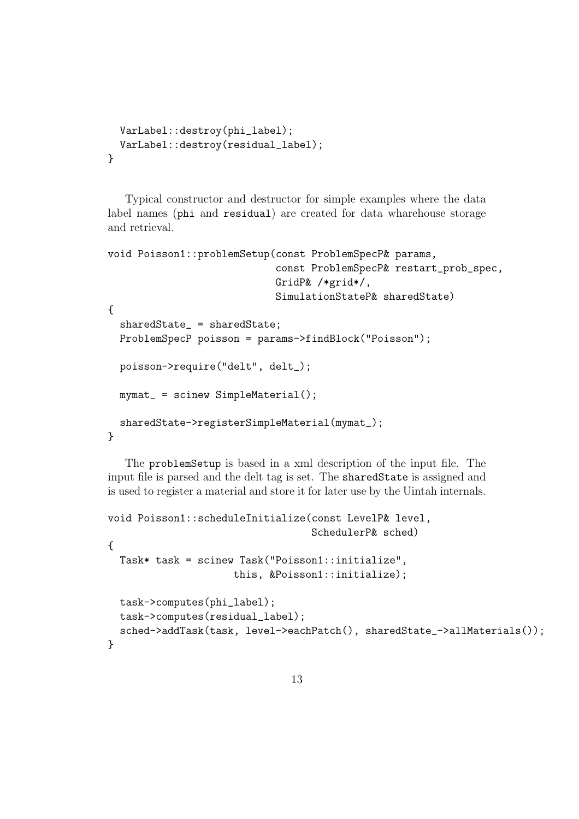```
VarLabel::destroy(phi_label);
  VarLabel::destroy(residual_label);
}
```
Typical constructor and destructor for simple examples where the data label names (phi and residual) are created for data wharehouse storage and retrieval.

```
void Poisson1::problemSetup(const ProblemSpecP& params,
                            const ProblemSpecP& restart_prob_spec,
                            GridP& /*grid*/,
                            SimulationStateP& sharedState)
{
  sharedState_ = sharedState;
  ProblemSpecP poisson = params->findBlock("Poisson");
  poisson->require("delt", delt_);
  mymat_ = scinew SimpleMaterial();
  sharedState->registerSimpleMaterial(mymat_);
}
```
The problemSetup is based in a xml description of the input file. The input file is parsed and the delt tag is set. The sharedState is assigned and is used to register a material and store it for later use by the Uintah internals.

```
void Poisson1::scheduleInitialize(const LevelP& level,
                                  SchedulerP& sched)
{
 Task* task = scinew Task("Poisson1::initialize",
                     this, &Poisson1::initialize);
  task->computes(phi_label);
 task->computes(residual_label);
  sched->addTask(task, level->eachPatch(), sharedState_->allMaterials());
}
```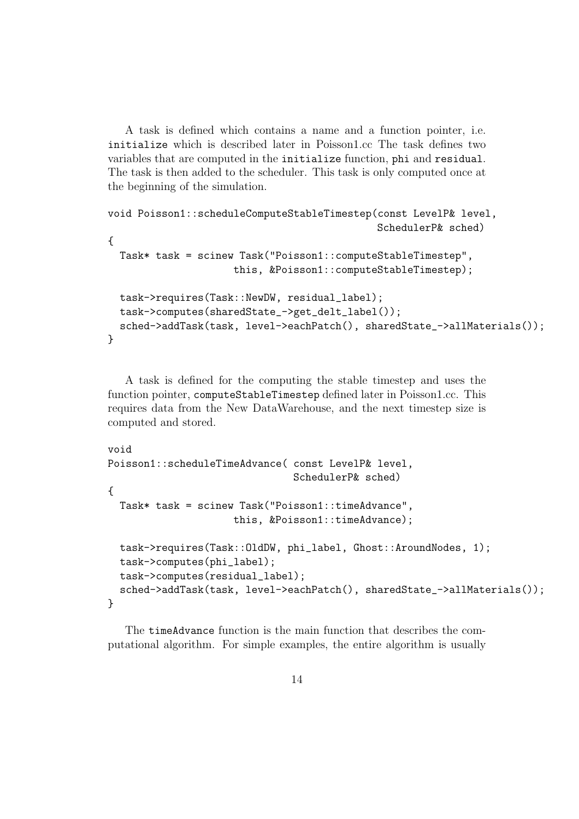A task is defined which contains a name and a function pointer, i.e. initialize which is described later in Poisson1.cc The task defines two variables that are computed in the initialize function, phi and residual. The task is then added to the scheduler. This task is only computed once at the beginning of the simulation.

```
void Poisson1::scheduleComputeStableTimestep(const LevelP& level,
                                             SchedulerP& sched)
{
  Task* task = scinew Task("Poisson1::computeStableTimestep",
                     this, &Poisson1::computeStableTimestep);
  task->requires(Task::NewDW, residual_label);
  task->computes(sharedState_->get_delt_label());
  sched->addTask(task, level->eachPatch(), sharedState_->allMaterials());
}
```
A task is defined for the computing the stable timestep and uses the function pointer, computeStableTimestep defined later in Poisson1.cc. This requires data from the New DataWarehouse, and the next timestep size is computed and stored.

```
void
Poisson1::scheduleTimeAdvance( const LevelP& level,
                               SchedulerP& sched)
{
  Task* task = scinew Task("Poisson1::timeAdvance",
                     this, &Poisson1::timeAdvance);
  task->requires(Task::OldDW, phi_label, Ghost::AroundNodes, 1);
  task->computes(phi_label);
  task->computes(residual_label);
  sched->addTask(task, level->eachPatch(), sharedState_->allMaterials());
}
```
The timeAdvance function is the main function that describes the computational algorithm. For simple examples, the entire algorithm is usually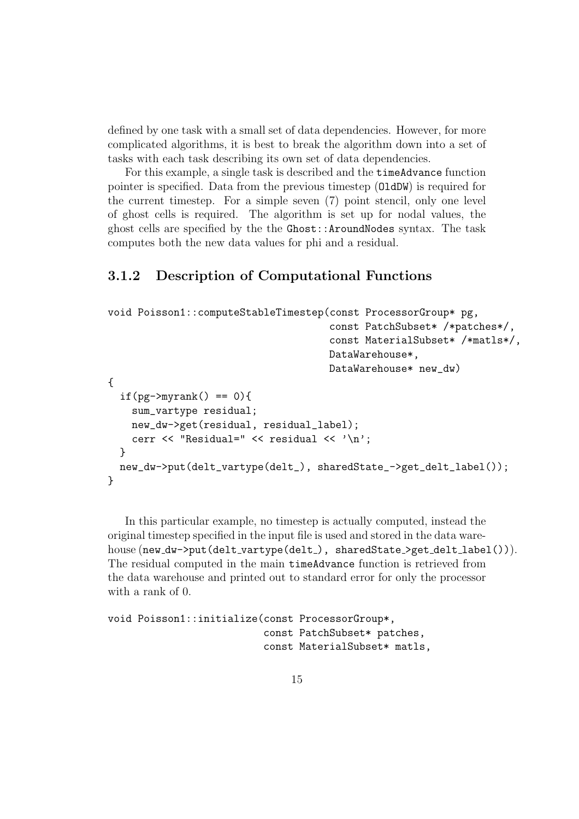defined by one task with a small set of data dependencies. However, for more complicated algorithms, it is best to break the algorithm down into a set of tasks with each task describing its own set of data dependencies.

For this example, a single task is described and the timeAdvance function pointer is specified. Data from the previous timestep (OldDW) is required for the current timestep. For a simple seven (7) point stencil, only one level of ghost cells is required. The algorithm is set up for nodal values, the ghost cells are specified by the the Ghost::AroundNodes syntax. The task computes both the new data values for phi and a residual.

#### 3.1.2 Description of Computational Functions

```
void Poisson1::computeStableTimestep(const ProcessorGroup* pg,
                                            const PatchSubset* /*patches*/,
                                            const MaterialSubset* /*matls*/,
                                           DataWarehouse*,
                                           DataWarehouse* new_dw)
{
  if(pg->myrank() == 0){
    sum_vartype residual;
    new_dw->get(residual, residual_label);
    cerr \langle \cdot \rangle "Residual=" \langle \cdot \rangle residual \langle \cdot \rangle '\n';
  }
  new_dw->put(delt_vartype(delt_), sharedState_->get_delt_label());
}
```
In this particular example, no timestep is actually computed, instead the original timestep specified in the input file is used and stored in the data warehouse (new\_dw->put(delt\_vartype(delt\_), sharedState\_>get\_delt\_label())). The residual computed in the main timeAdvance function is retrieved from the data warehouse and printed out to standard error for only the processor with a rank of 0.

```
void Poisson1::initialize(const ProcessorGroup*,
                          const PatchSubset* patches,
                          const MaterialSubset* matls,
```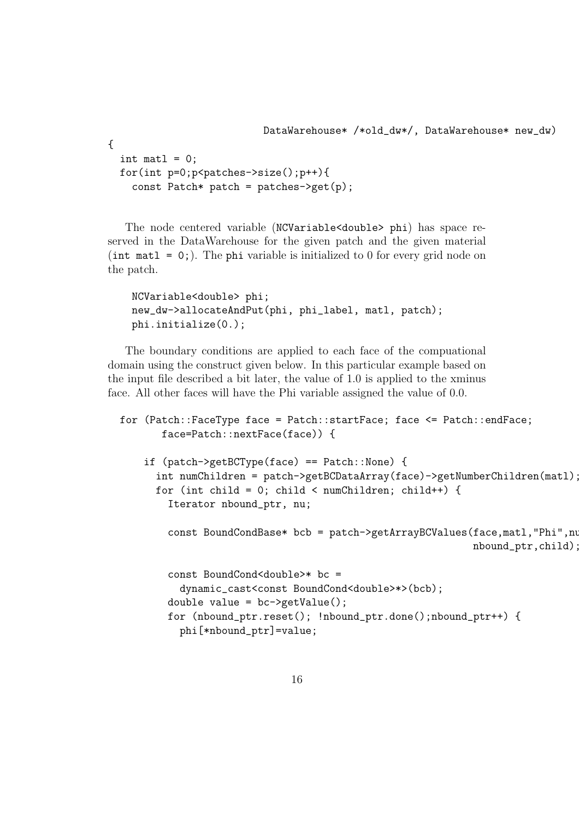```
{
  int matl = 0;
  for(int p=0;p<patches->size();p++){
    const Patch* patch = patches->get(p);
```
The node centered variable (NCVariable<double> phi) has space reserved in the DataWarehouse for the given patch and the given material (int matl = 0;). The phi variable is initialized to 0 for every grid node on the patch.

```
NCVariable<double> phi;
new_dw->allocateAndPut(phi, phi_label, matl, patch);
phi.initialize(0.);
```
The boundary conditions are applied to each face of the compuational domain using the construct given below. In this particular example based on the input file described a bit later, the value of 1.0 is applied to the xminus face. All other faces will have the Phi variable assigned the value of 0.0.

```
for (Patch::FaceType face = Patch::startFace; face <= Patch::endFace;
       face=Patch::nextFace(face)) {
   if (patch->getBCType(face) == Patch::None) {
      int numChildren = patch->getBCDataArray(face)->getNumberChildren(matl);
     for (int child = 0; child < numChildren; child++) {
        Iterator nbound_ptr, nu;
        const BoundCondBase* bcb = patch->getArrayBCValues(face,matl,"Phi",nu,
                                                            nbound_ptr,child);
        const BoundCond<double>* bc =
          dynamic_cast<const BoundCond<double>*>(bcb);
```

```
double value = bc->getValue();
for (nbound_ptr.reset(); !nbound_ptr.done();nbound_ptr++) {
```

```
phi[*nbound_ptr]=value;
```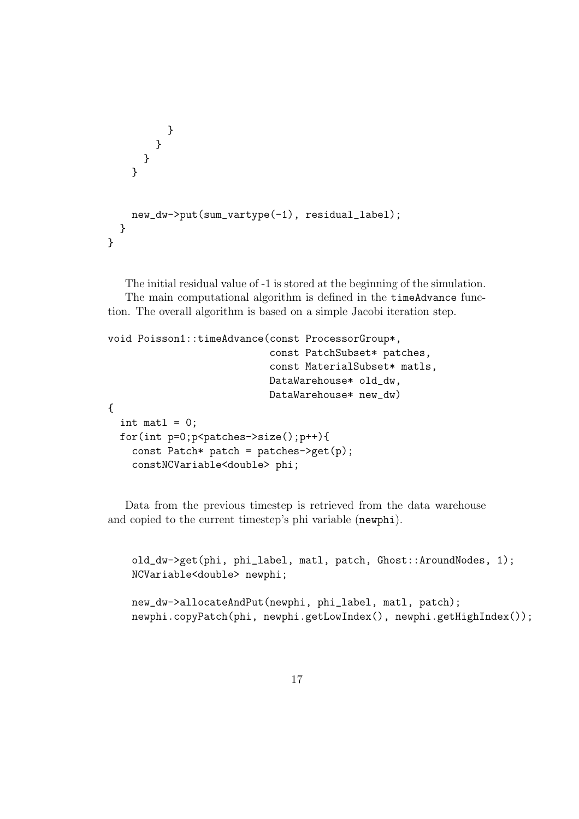```
}
       }
      }
    }
    new_dw->put(sum_vartype(-1), residual_label);
  }
}
```
The initial residual value of -1 is stored at the beginning of the simulation. The main computational algorithm is defined in the timeAdvance func-

tion. The overall algorithm is based on a simple Jacobi iteration step.

```
void Poisson1::timeAdvance(const ProcessorGroup*,
                           const PatchSubset* patches,
                           const MaterialSubset* matls,
                           DataWarehouse* old_dw,
                           DataWarehouse* new_dw)
{
  int matl = 0:
  for(int p=0;p<patches->size();p++){
    const Patch* patch = patches->get(p);
    constNCVariable<double> phi;
```
Data from the previous timestep is retrieved from the data warehouse and copied to the current timestep's phi variable (newphi).

old\_dw->get(phi, phi\_label, matl, patch, Ghost::AroundNodes, 1); NCVariable<double> newphi;

```
new_dw->allocateAndPut(newphi, phi_label, matl, patch);
newphi.copyPatch(phi, newphi.getLowIndex(), newphi.getHighIndex());
```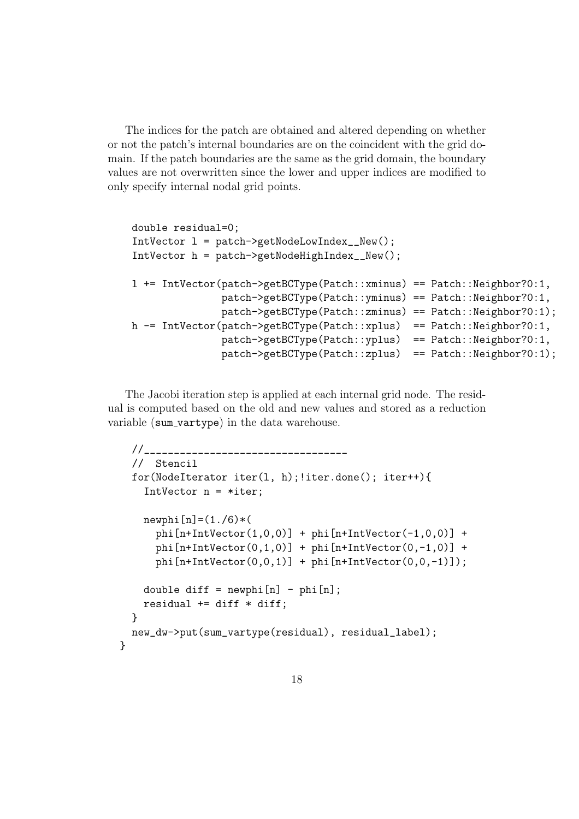The indices for the patch are obtained and altered depending on whether or not the patch's internal boundaries are on the coincident with the grid domain. If the patch boundaries are the same as the grid domain, the boundary values are not overwritten since the lower and upper indices are modified to only specify internal nodal grid points.

```
double residual=0;
IntVector l = patch->getNodeLowIndex__New();
IntVector h = patch\text{-}getNodeHighIndex_{New}();
l += IntVector(patch->getBCType(Patch::xminus) == Patch::Neighbor?0:1,
               patch->getBCType(Patch::yminus) == Patch::Neighbor?0:1,
               patch->getBCType(Patch::zminus) == Patch::Neighbor?0:1);
h - IntVector(patch->getBCType(Patch::xplus) == Patch::Neighbor?0:1,
               patch->getBCType(Patch::yplus) == Patch::Neighbor?0:1,
               patch->getBCType(Patch::zplus) == Patch::Neighbor?0:1);
```
The Jacobi iteration step is applied at each internal grid node. The residual is computed based on the old and new values and stored as a reduction variable (sum vartype) in the data warehouse.

```
//__________________________________
 // Stencil
 for(NodeIterator iter(l, h);!iter.done(); iter++){
   IntVector n = *iter;
   newphi[n]=(1./6)*(phi[n+IntVector(1,0,0)] + phi[n+IntVector(-1,0,0)] +phi[n+IntVector(0,1,0)] + phi[n+IntVector(0,-1,0)] +phi[n+IntVector(0,0,1)] + phi[n+IntVector(0,0,-1)];
   double diff = newphi[n] - phi[n];
   residual += diff * diff;
 }
 new_dw->put(sum_vartype(residual), residual_label);
}
```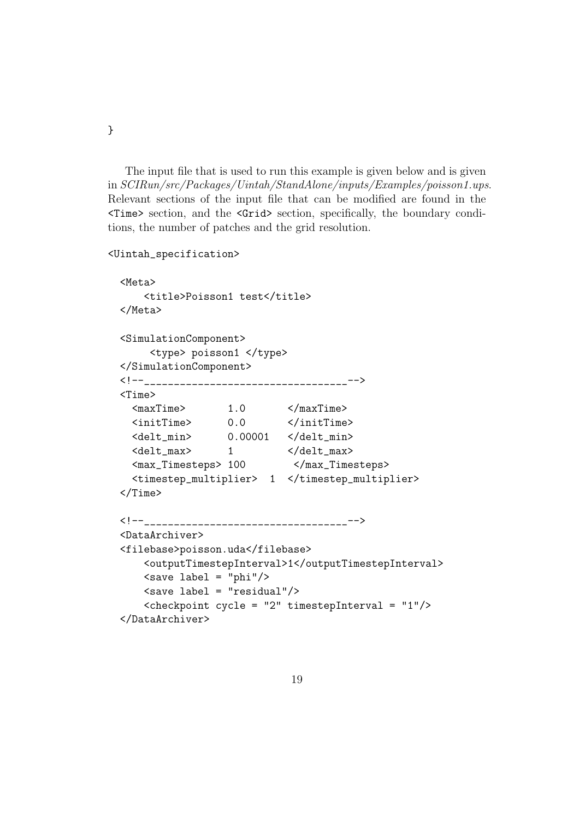The input file that is used to run this example is given below and is given in SCIRun/src/Packages/Uintah/StandAlone/inputs/Examples/poisson1.ups. Relevant sections of the input file that can be modified are found in the <Time> section, and the <Grid> section, specifically, the boundary conditions, the number of patches and the grid resolution.

<Uintah\_specification>

}

```
<Meta>
   <title>Poisson1 test</title>
</Meta>
<SimulationComponent>
    <type> poisson1 </type>
</SimulationComponent>
<!--_________________________________-->
<Time><maxTime> 1.0 </maxTime>
  <initTime> 0.0 </initTime>
  <delt_min> 0.00001 </delt_min>
  <delt_max> 1 </delt_max>
  <max_Timesteps> 100 </max_Timesteps>
 <timestep_multiplier> 1 </timestep_multiplier>
</Time>
<!--_________________________________-->
<DataArchiver>
<filebase>poisson.uda</filebase>
   <outputTimestepInterval>1</outputTimestepInterval>
   \langlesave label = "phi"/>
   \langlesave label = "residual"/>
   <checkpoint cycle = "2" timestepInterval = "1"/>
</DataArchiver>
```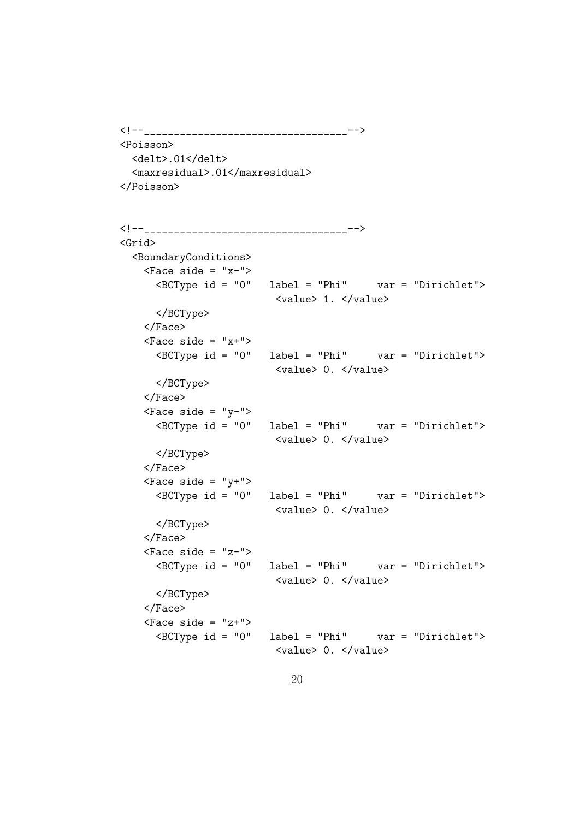```
<!--________________________________-->
<Poisson>
 <delt>.01</delt>
 <maxresidual>.01</maxresidual>
</Poisson>
```

```
<!--_________________________________-->
<Grid>
 <BoundaryConditions>
   \langleFace side = "x-">
     <BCType id = "0" label = "Phi" var = "Dirichlet">
                        <value> 1. </value>
     </BCType>
   </Face>
   \langleFace side = "x+">
     <BCType id = "0" label = "Phi" var = "Dirichlet">
                        <value> 0. </value>
     </BCType>
   </Face>
   \langleFace side = "y-">
     <BCType id = "0" label = "Phi" var = "Dirichlet">
                        <value> 0. </value>
     </BCType>
   </Face>
   <Face side = "y+">
     <BCType id = "0" label = "Phi" var = "Dirichlet">
                        <value> 0. </value>
     </BCType>
   </Face>
   \langleFace side = "z-">
     <BCType id = "0" label = "Phi" var = "Dirichlet">
                        <value> 0. </value>
     </BCType>
   </Face>
   \langleFace side = "z+">
     <BCType id = "0" label = "Phi" var = "Dirichlet">
                         <value> 0. </value>
```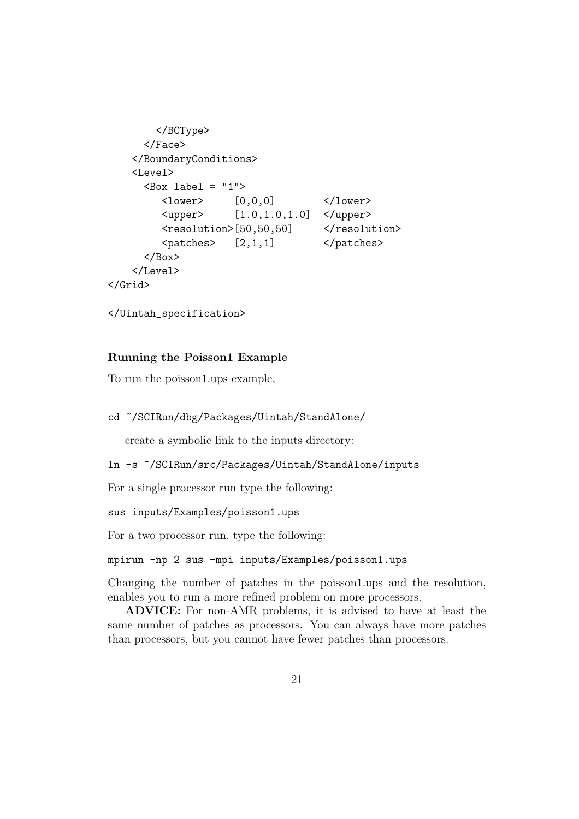```
</BCType>
       </Face>
    </BoundaryConditions>
    <Level>
       <sub>Box</sub> label = "1"></sub>
          <lower> [0,0,0] </lower>
          \langle upper \rangle [1.0,1.0,1.0] \langle upper \rangle<resolution>[50,50,50] </resolution>
          \langle patches> [2,1,1] \langle /patches>
       \langle/Box>
    </Level>
</Grid>
```

```
</Uintah_specification>
```
#### Running the Poisson1 Example

To run the poisson1.ups example,

```
cd ~/SCIRun/dbg/Packages/Uintah/StandAlone/
```
create a symbolic link to the inputs directory:

```
ln -s ~/SCIRun/src/Packages/Uintah/StandAlone/inputs
```
For a single processor run type the following:

sus inputs/Examples/poisson1.ups

For a two processor run, type the following:

```
mpirun -np 2 sus -mpi inputs/Examples/poisson1.ups
```
Changing the number of patches in the poisson1.ups and the resolution, enables you to run a more refined problem on more processors.

ADVICE: For non-AMR problems, it is advised to have at least the same number of patches as processors. You can always have more patches than processors, but you cannot have fewer patches than processors.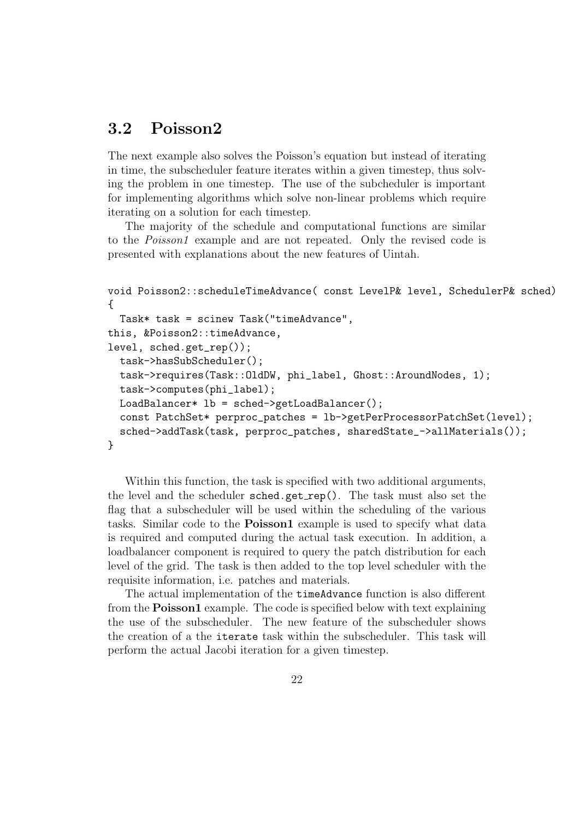### 3.2 Poisson2

The next example also solves the Poisson's equation but instead of iterating in time, the subscheduler feature iterates within a given timestep, thus solving the problem in one timestep. The use of the subcheduler is important for implementing algorithms which solve non-linear problems which require iterating on a solution for each timestep.

The majority of the schedule and computational functions are similar to the *Poisson1* example and are not repeated. Only the revised code is presented with explanations about the new features of Uintah.

```
void Poisson2::scheduleTimeAdvance( const LevelP& level, SchedulerP& sched)
{
  Task* task = scinew Task("timeAdvance",
this, &Poisson2::timeAdvance,
level, sched.get_rep());
  task->hasSubScheduler();
  task->requires(Task::OldDW, phi_label, Ghost::AroundNodes, 1);
  task->computes(phi_label);
  LoadBalancer* lb = sched->getLoadBalancer();
  const PatchSet* perproc_patches = lb->getPerProcessorPatchSet(level);
  sched->addTask(task, perproc_patches, sharedState_->allMaterials());
}
```
Within this function, the task is specified with two additional arguments, the level and the scheduler sched.get rep(). The task must also set the flag that a subscheduler will be used within the scheduling of the various tasks. Similar code to the Poisson1 example is used to specify what data is required and computed during the actual task execution. In addition, a loadbalancer component is required to query the patch distribution for each level of the grid. The task is then added to the top level scheduler with the requisite information, i.e. patches and materials.

The actual implementation of the timeAdvance function is also different from the Poisson1 example. The code is specified below with text explaining the use of the subscheduler. The new feature of the subscheduler shows the creation of a the iterate task within the subscheduler. This task will perform the actual Jacobi iteration for a given timestep.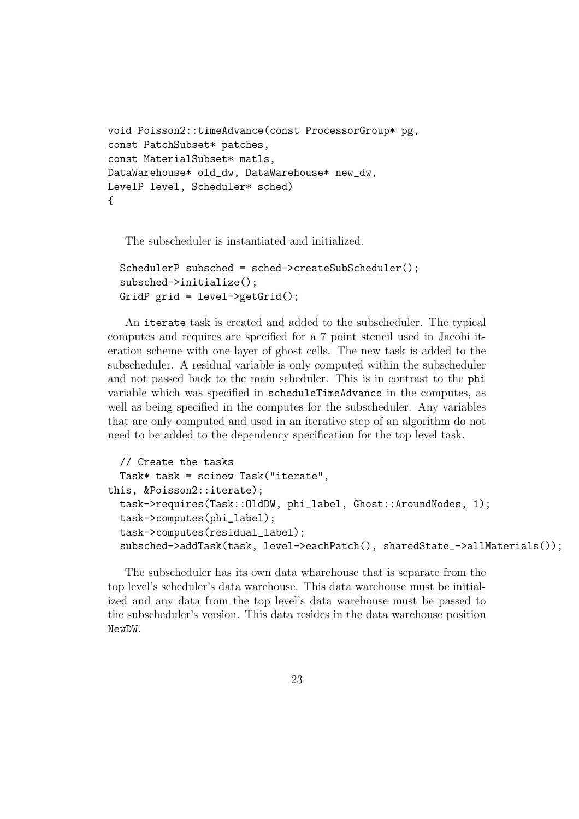```
void Poisson2::timeAdvance(const ProcessorGroup* pg,
const PatchSubset* patches,
const MaterialSubset* matls,
DataWarehouse* old_dw, DataWarehouse* new_dw,
LevelP level, Scheduler* sched)
{
```
The subscheduler is instantiated and initialized.

```
SchedulerP subsched = sched->createSubScheduler();
subsched->initialize();
GridP grid = level \rightarrow getGrid();
```
An iterate task is created and added to the subscheduler. The typical computes and requires are specified for a 7 point stencil used in Jacobi iteration scheme with one layer of ghost cells. The new task is added to the subscheduler. A residual variable is only computed within the subscheduler and not passed back to the main scheduler. This is in contrast to the phi variable which was specified in scheduleTimeAdvance in the computes, as well as being specified in the computes for the subscheduler. Any variables that are only computed and used in an iterative step of an algorithm do not need to be added to the dependency specification for the top level task.

```
// Create the tasks
 Task* task = scinew Task("iterate",
this, &Poisson2::iterate);
  task->requires(Task::OldDW, phi_label, Ghost::AroundNodes, 1);
  task->computes(phi_label);
  task->computes(residual_label);
  subsched->addTask(task, level->eachPatch(), sharedState_->allMaterials());
```
The subscheduler has its own data wharehouse that is separate from the top level's scheduler's data warehouse. This data warehouse must be initialized and any data from the top level's data warehouse must be passed to the subscheduler's version. This data resides in the data warehouse position NewDW.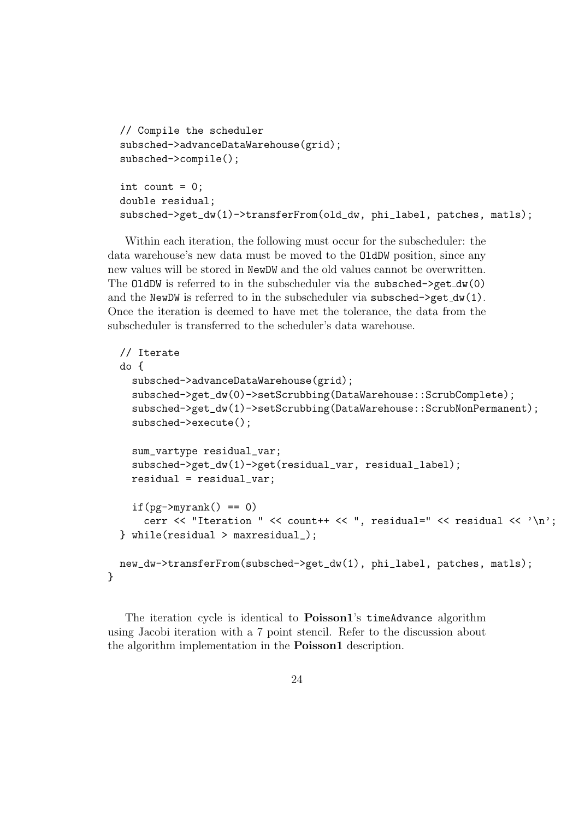```
// Compile the scheduler
subsched->advanceDataWarehouse(grid);
subsched->compile();
int count = 0;
double residual;
subsched->get_dw(1)->transferFrom(old_dw, phi_label, patches, matls);
```
Within each iteration, the following must occur for the subscheduler: the data warehouse's new data must be moved to the OldDW position, since any new values will be stored in NewDW and the old values cannot be overwritten. The OldDW is referred to in the subscheduler via the subsched- $>$ get\_dw(0) and the NewDW is referred to in the subscheduler via subsched->get\_dw(1). Once the iteration is deemed to have met the tolerance, the data from the subscheduler is transferred to the scheduler's data warehouse.

```
// Iterate
do {
  subsched->advanceDataWarehouse(grid);
  subsched->get_dw(0)->setScrubbing(DataWarehouse::ScrubComplete);
  subsched->get_dw(1)->setScrubbing(DataWarehouse::ScrubNonPermanent);
  subsched->execute();
  sum_vartype residual_var;
  subsched->get_dw(1)->get(residual_var, residual_label);
  residual = residual_var;
  if(pg->myrank() == 0)
    cerr \langle\langle "Iteration " \langle\langle count++ \langle\langle ", residual=" \langle\langle residual \langle\langle \cdot \rangle \rangle";
} while(residual > maxresidual_);
new_dw->transferFrom(subsched->get_dw(1), phi_label, patches, matls);
```
The iteration cycle is identical to **Poisson1**'s timeAdvance algorithm using Jacobi iteration with a 7 point stencil. Refer to the discussion about the algorithm implementation in the **Poisson1** description.

}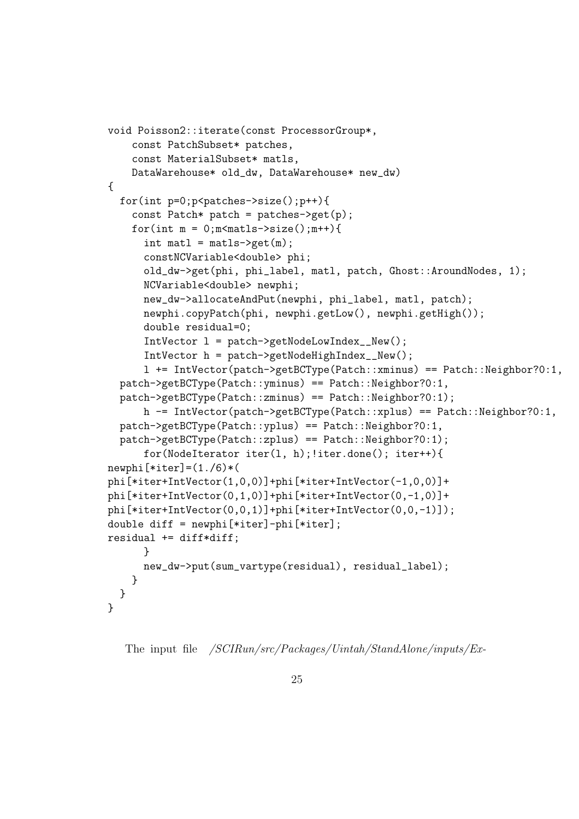```
void Poisson2::iterate(const ProcessorGroup*,
    const PatchSubset* patches,
    const MaterialSubset* matls,
    DataWarehouse* old_dw, DataWarehouse* new_dw)
{
  for(int p=0; p< patches -> size(); p++){
    const Patch* patch = patches-> get(p);
    for(int m = 0; m m \frac{m \times m}{m \times 1}; m \times 1int matl = maths \rightarrow get(m);
      constNCVariable<double> phi;
      old_dw->get(phi, phi_label, matl, patch, Ghost::AroundNodes, 1);
      NCVariable<double> newphi;
      new_dw->allocateAndPut(newphi, phi_label, matl, patch);
      newphi.copyPatch(phi, newphi.getLow(), newphi.getHigh());
      double residual=0;
      IntVector l = patch->getNodeLowIndex__New();
      IntVector h = patch->getNodeHighIndex__New();
      l += IntVector(patch->getBCType(Patch::xminus) == Patch::Neighbor?0:1,
  patch->getBCType(Patch::yminus) == Patch::Neighbor?0:1,
  patch->getBCType(Patch::zminus) == Patch::Neighbor?0:1);
      h -= IntVector(patch->getBCType(Patch::xplus) == Patch::Neighbor?0:1,
  patch->getBCType(Patch::yplus) == Patch::Neighbor?0:1,
  patch->getBCType(Patch::zplus) == Patch::Neighbor?0:1);
      for(NodeIterator iter(l, h);!iter.done(); iter++){
newphi[*iter]=(1./6)*(phi[*iter+IntVector(1,0,0)]+phi[*iter+IntVector(-1,0,0)]+
phi[*iter+IntVector(0,1,0)]+phi[*iter+IntVector(0,-1,0)]+
phi[*iter+IntVector(0,0,1)]+phi[*iter+IntVector(0,0,-1)]);
double diff = newphi[*iter]-phi[*iter];
residual += diff*diff;
      }
      new_dw->put(sum_vartype(residual), residual_label);
    }
  }
}
```

```
The input file /SCIRun/src/Packages/Uintah/StandAlone/inputs/Ex-
```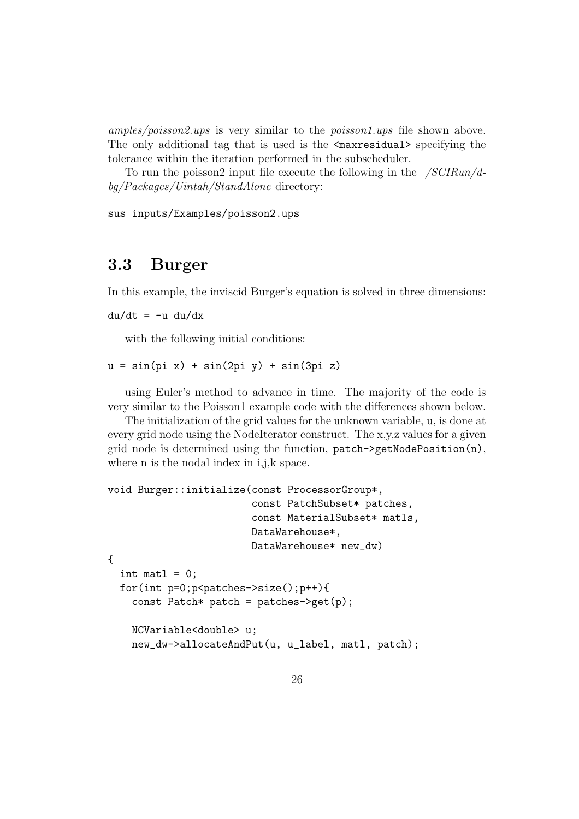amples/poisson2.ups is very similar to the poisson1.ups file shown above. The only additional tag that is used is the  $\alpha$  axresidual specifying the tolerance within the iteration performed in the subscheduler.

To run the poisson2 input file execute the following in the  $/SCIRun/d$ bg/Packages/Uintah/StandAlone directory:

sus inputs/Examples/poisson2.ups

### 3.3 Burger

In this example, the inviscid Burger's equation is solved in three dimensions:

 $du/dt = -u du/dx$ 

with the following initial conditions:

 $u = sin(pi x) + sin(2pi y) + sin(3pi z)$ 

using Euler's method to advance in time. The majority of the code is very similar to the Poisson1 example code with the differences shown below.

The initialization of the grid values for the unknown variable, u, is done at every grid node using the NodeIterator construct. The x,y,z values for a given grid node is determined using the function, patch->getNodePosition(n), where n is the nodal index in i,j,k space.

```
void Burger::initialize(const ProcessorGroup*,
                         const PatchSubset* patches,
                         const MaterialSubset* matls,
                         DataWarehouse*,
                         DataWarehouse* new_dw)
{
  int matl = 0;
  for(int p=0; p<|patches-&gt;size(),p++){}const Patch* patch = patches->get(p);
    NCVariable<double> u;
    new_dw->allocateAndPut(u, u_label, matl, patch);
```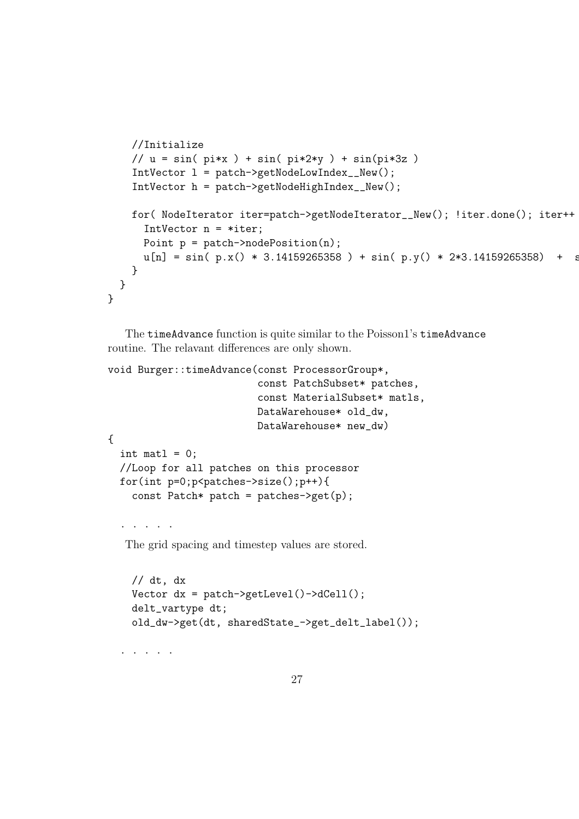```
//Initialize
    // u = sin( pi*x ) + sin( pi*2*y ) + sin(pi*3z )
    IntVector l = patch->getNodeLowIndex__New();
    IntVector h = patch->getNodeHighIndex__New();
    for( NodeIterator iter=patch->getNodeIterator__New(); !iter.done(); iter++
      IntVector n = *iter;
      Point p = patch-}\nodePosition(n);u[n] = sin( p.x() * 3.14159265358 ) + sin( p.y() * 2*3.14159265358 ) + s}
 }
}
```
The timeAdvance function is quite similar to the Poisson1's timeAdvance routine. The relavant differences are only shown.

```
void Burger::timeAdvance(const ProcessorGroup*,
                         const PatchSubset* patches,
                         const MaterialSubset* matls,
                         DataWarehouse* old_dw,
                         DataWarehouse* new_dw)
{
  int matl = 0;
  //Loop for all patches on this processor
  for(int p=0;p<patches->size();p++){
    const Patch* patch = patches->get(p);
  . . . . .
```
The grid spacing and timestep values are stored.

```
// dt, dxVector dx = patch->getLevel()->dCell();
delt_vartype dt;
old_dw->get(dt, sharedState_->get_delt_label());
```
. . . . .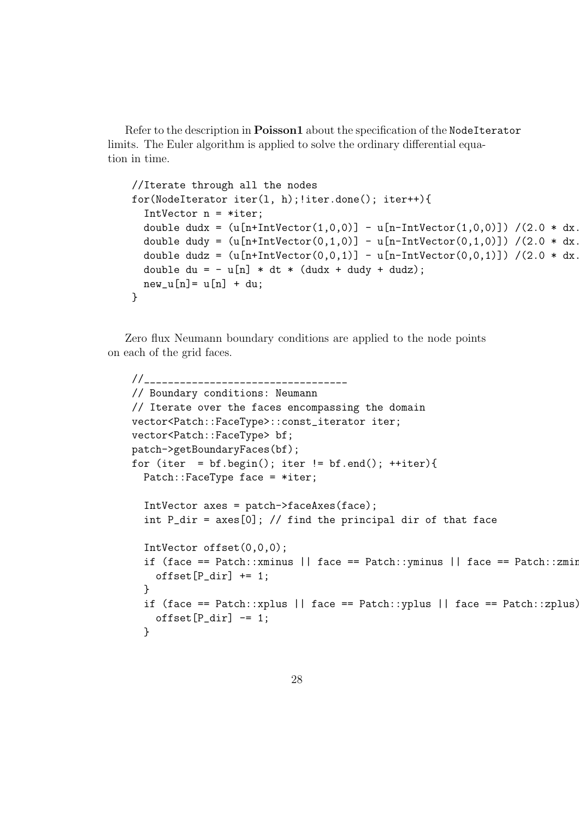Refer to the description in Poisson1 about the specification of the NodeIterator limits. The Euler algorithm is applied to solve the ordinary differential equation in time.

```
//Iterate through all the nodes
for(NodeIterator iter(l, h);!iter.done(); iter++){
 IntVector n = *iter;
 double dudx = (u[n+IntVector(1,0,0)] - u[n-IntVector(1,0,0)]) /(2.0 * dx.
 double dudy = (u[n+IntVector(0,1,0)] - u[n-IntVector(0,1,0)]) /(2.0 * dx.
 double dudz = (u[n+IntVector(0,0,1)] - u[n-IntVector(0,0,1)]) /(2.0 * dx.
 double du = - u[n] * dt * (dudx + dudy + dudz);
 new_u[n] = u[n] + du;}
```
Zero flux Neumann boundary conditions are applied to the node points on each of the grid faces.

```
//__________________________________
// Boundary conditions: Neumann
// Iterate over the faces encompassing the domain
vector<Patch::FaceType>::const_iterator iter;
vector<Patch::FaceType> bf;
patch->getBoundaryFaces(bf);
for (iter = bf.begin(); iter != bf.eand(); ++iter){
  Patch::FaceType face = *iter;
  IntVector axes = patch->faceAxes(face);
  int P_{air} = axes[0]; // find the principal dir of that face
  IntVector offset(0,0,0);
  if (face == Patch::xminus || face == Patch::yminus || face == Patch::zmin
    offset[P\_dir] += 1;}
  if (face == Patch::xplus || face == Patch::yplus || face == Patch::zplus){
    offset[P\_dir] -= 1;
  }
```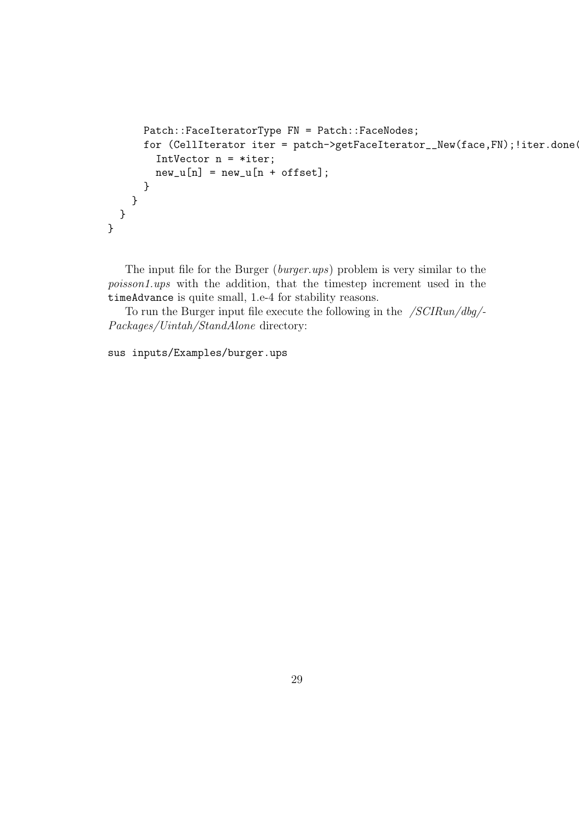```
Patch::FaceIteratorType FN = Patch::FaceNodes;
      for (CellIterator iter = patch->getFaceIterator__New(face,FN); !iter.done(
        IntVector n = *iter;new_u[n] = new_u[n + offset];}
   }
  }
}
```
The input file for the Burger (burger.ups) problem is very similar to the poisson1.ups with the addition, that the timestep increment used in the timeAdvance is quite small, 1.e-4 for stability reasons.

To run the Burger input file execute the following in the  $/SCIRun/dbg/$ -Packages/Uintah/StandAlone directory:

sus inputs/Examples/burger.ups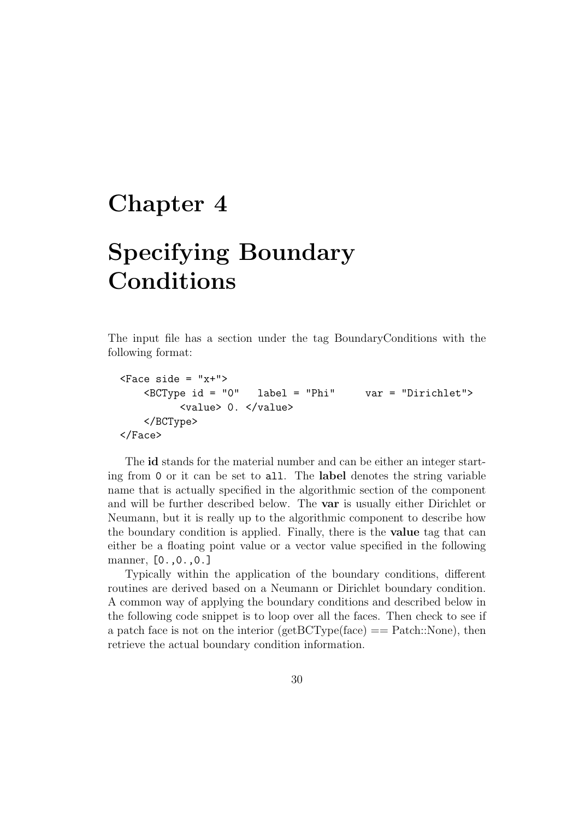### Chapter 4

# Specifying Boundary Conditions

The input file has a section under the tag BoundaryConditions with the following format:

```

   <BCType id = "0" label = "Phi" var = "Dirichlet">
        <value> 0. </value>
   </BCType>
</Face>
```
The id stands for the material number and can be either an integer starting from 0 or it can be set to all. The label denotes the string variable name that is actually specified in the algorithmic section of the component and will be further described below. The var is usually either Dirichlet or Neumann, but it is really up to the algorithmic component to describe how the boundary condition is applied. Finally, there is the value tag that can either be a floating point value or a vector value specified in the following manner, [0.,0.,0.]

Typically within the application of the boundary conditions, different routines are derived based on a Neumann or Dirichlet boundary condition. A common way of applying the boundary conditions and described below in the following code snippet is to loop over all the faces. Then check to see if a patch face is not on the interior ( $getBCType(face) ==$  Patch::None), then retrieve the actual boundary condition information.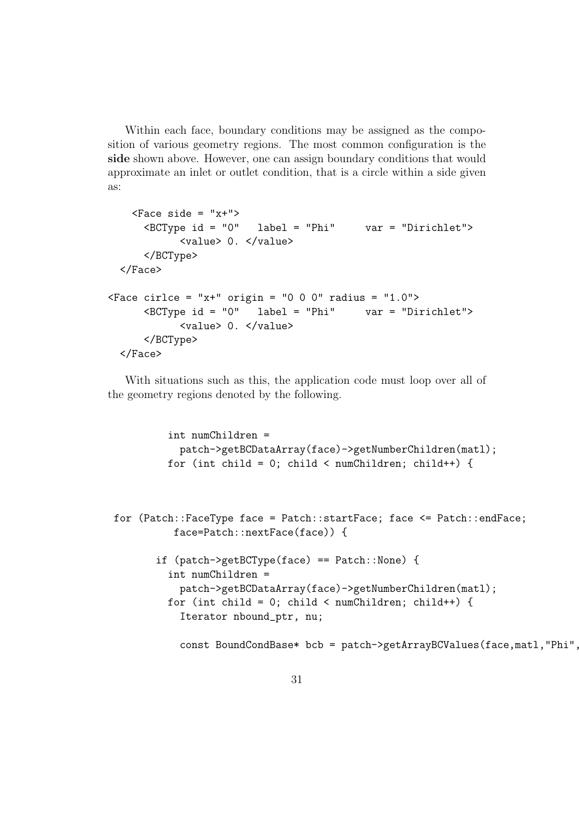Within each face, boundary conditions may be assigned as the composition of various geometry regions. The most common configuration is the side shown above. However, one can assign boundary conditions that would approximate an inlet or outlet condition, that is a circle within a side given as:

```
\langleFace side = "x+">
      <BCType id = "0" label = "Phi" var = "Dirichlet">
            <value> 0. </value>
      </BCType>
  </Face>
\langleFace cirlce = "x+" origin = "0 0 0" radius = "1.0">
      <BCType id = "0" label = "Phi" var = "Dirichlet">
            <value> 0. </value>
      </BCType>
  </Face>
```
With situations such as this, the application code must loop over all of the geometry regions denoted by the following.

```
int numChildren =
 patch->getBCDataArray(face)->getNumberChildren(matl);
for (int child = 0; child < numChildren; child++) {
```

```
for (Patch::FaceType face = Patch::startFace; face <= Patch::endFace;
          face=Patch::nextFace(face)) {
```

```
if (patch->getBCType(face) == Patch::None) {
  int numChildren =
    patch->getBCDataArray(face)->getNumberChildren(matl);
 for (int child = 0; child < numChildren; child++) {
    Iterator nbound_ptr, nu;
```

```
const BoundCondBase* bcb = patch->getArrayBCValues(face,matl,"Phi",
```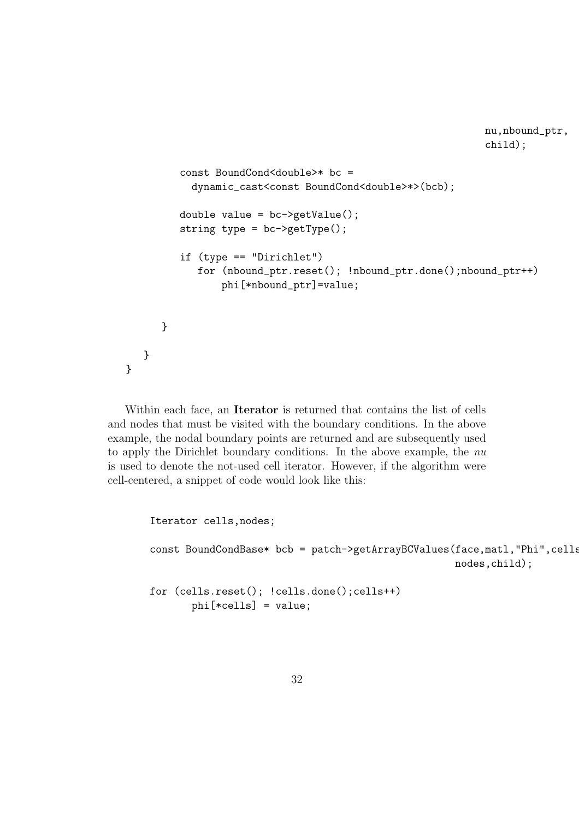```
const BoundCond<double>* bc =
           dynamic_cast<const BoundCond<double>*>(bcb);
         double value = bc->getValue();
         string type = bc->getType();
         if (type == "Dirichlet")
            for (nbound_ptr.reset(); !nbound_ptr.done();nbound_ptr++)
                phi[*nbound_ptr]=value;
      }
  }
}
```
nu,nbound\_ptr,

child);

Within each face, an Iterator is returned that contains the list of cells and nodes that must be visited with the boundary conditions. In the above example, the nodal boundary points are returned and are subsequently used to apply the Dirichlet boundary conditions. In the above example, the nu is used to denote the not-used cell iterator. However, if the algorithm were cell-centered, a snippet of code would look like this:

> Iterator cells,nodes; const BoundCondBase\* bcb = patch->getArrayBCValues(face,matl,"Phi",cells, nodes,child); for (cells.reset(); !cells.done();cells++) phi[\*cells] = value;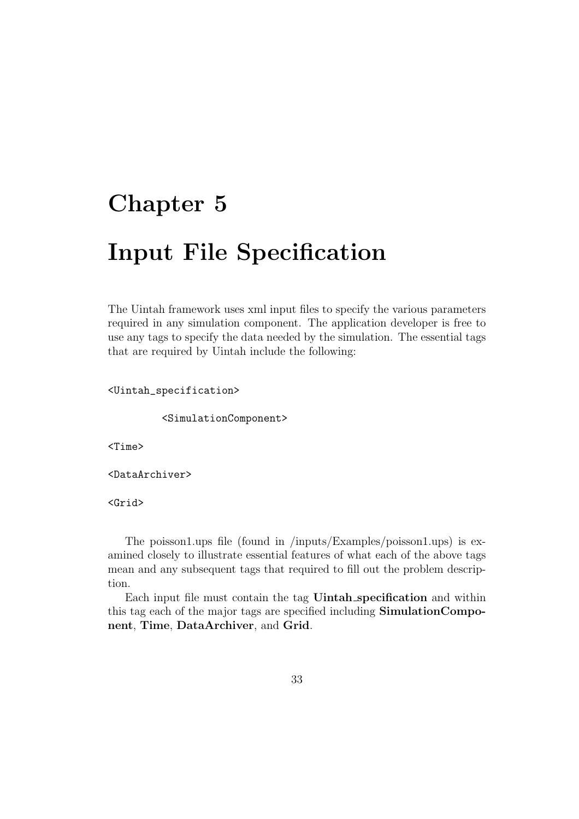# Chapter 5

# Input File Specification

The Uintah framework uses xml input files to specify the various parameters required in any simulation component. The application developer is free to use any tags to specify the data needed by the simulation. The essential tags that are required by Uintah include the following:

<Uintah\_specification>

<SimulationComponent>

<Time>

<DataArchiver>

<Grid>

The poisson1.ups file (found in /inputs/Examples/poisson1.ups) is examined closely to illustrate essential features of what each of the above tags mean and any subsequent tags that required to fill out the problem description.

Each input file must contain the tag Uintah specification and within this tag each of the major tags are specified including SimulationComponent, Time, DataArchiver, and Grid.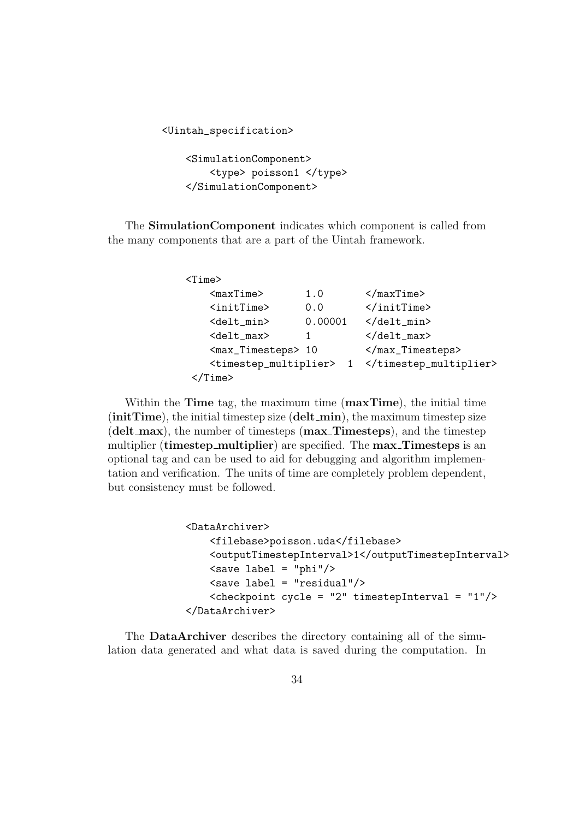<Uintah\_specification>

<SimulationComponent> <type> poisson1 </type> </SimulationComponent>

The SimulationComponent indicates which component is called from the many components that are a part of the Uintah framework.

| $<$ Time $>$                                |         |                            |
|---------------------------------------------|---------|----------------------------|
| <maxtime></maxtime>                         | 1.0     | $\frac{2}{\text{maxTime}}$ |
| <inittime></inittime>                       | 0.0     |                            |
| <delt_min></delt_min>                       | 0.00001 | $\langle$ delt_min>        |
| <delt_max></delt_max>                       |         | $\langle$ delt_max>        |
| <max_timesteps> 10</max_timesteps>          |         |                            |
| <timestep_multiplier></timestep_multiplier> |         |                            |
| me <sub>2</sub>                             |         |                            |

Within the **Time** tag, the maximum time (**maxTime**), the initial time  $(initrime)$ , the initial timestep size  $(delt-min)$ , the maximum timestep size (delt\_max), the number of timesteps (max\_Timesteps), and the timestep multiplier (timestep\_multiplier) are specified. The max\_Timesteps is an optional tag and can be used to aid for debugging and algorithm implementation and verification. The units of time are completely problem dependent, but consistency must be followed.

```
<DataArchiver>
    <filebase>poisson.uda</filebase>
    <outputTimestepInterval>1</outputTimestepInterval>
    \langlesave label = "phi"/>
    <save label = "residual"/>
    <checkpoint cycle = "2" timestepInterval = "1"/>
</DataArchiver>
```
The DataArchiver describes the directory containing all of the simulation data generated and what data is saved during the computation. In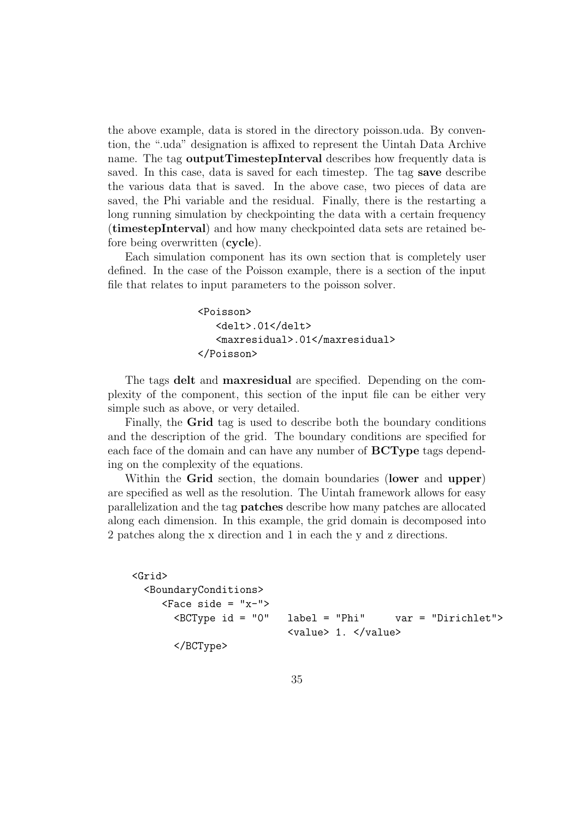the above example, data is stored in the directory poisson.uda. By convention, the ".uda" designation is affixed to represent the Uintah Data Archive name. The tag outputTimestepInterval describes how frequently data is saved. In this case, data is saved for each timestep. The tag save describe the various data that is saved. In the above case, two pieces of data are saved, the Phi variable and the residual. Finally, there is the restarting a long running simulation by checkpointing the data with a certain frequency (timestepInterval) and how many checkpointed data sets are retained before being overwritten (cycle).

Each simulation component has its own section that is completely user defined. In the case of the Poisson example, there is a section of the input file that relates to input parameters to the poisson solver.

```
<Poisson>
   <delt>.01</delt>
   <maxresidual>.01</maxresidual>
</Poisson>
```
The tags delt and maxresidual are specified. Depending on the complexity of the component, this section of the input file can be either very simple such as above, or very detailed.

Finally, the Grid tag is used to describe both the boundary conditions and the description of the grid. The boundary conditions are specified for each face of the domain and can have any number of BCType tags depending on the complexity of the equations.

Within the Grid section, the domain boundaries (lower and upper) are specified as well as the resolution. The Uintah framework allows for easy parallelization and the tag patches describe how many patches are allocated along each dimension. In this example, the grid domain is decomposed into 2 patches along the x direction and 1 in each the y and z directions.

```
<Grid>
  <BoundaryConditions>
     <Face side = "x-">
       <BCType id = "0" label = "Phi" var = "Dirichlet">
                         <value> 1. </value>
       </BCType>
```